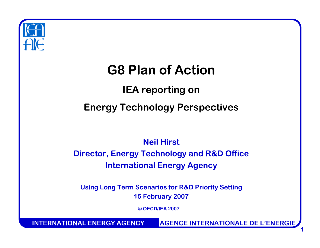

# **G8 Plan of Action**

### **IEA reporting on Energy Technology Perspectives**

### **Neil HirstDirector, Energy Technology and R&D Office International Energy Agency**

**Using Long Term Scenarios for R&D Priority Setting 15 F ebruary 2007**

**© OECD/IEA 2007**

**INTERNATIONAL ENERGY AGENCYAGENCE INTERNATIONALE DE L'ENERGIE**

**1**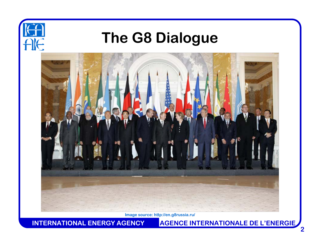

## **The G8 Dialogue**



**Image source: http://en.g8russia.ru/**

**INTERNATIONAL ENERGY AGENCYAGENCE INTERNATIONALE DE L'ENERGIE**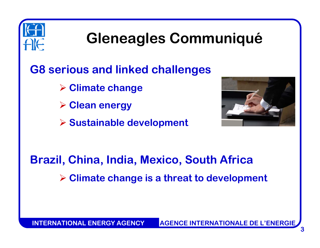

# **Gleneagles Communiqué**

### **G8 serious and linked challenges**

- ¾ **Climate change**
- ¾ **Clean energy**
- ¾ **Sustainable development**



## **Brazil, China, India, Mexico, South Africa** ¾ **Climate change is a threat to development**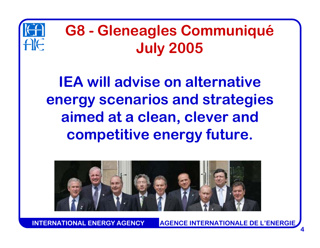

# **G8 - Gleneagles Communiqué July 2005**

**IEA will advise on alternativeenergy scenarios and strategies aimed at a clean, clever and competitive energy future.** 



**INTERNATIONAL ENERGY AGENCYAGENCE INTERNATIONALE DE L'ENERGIE**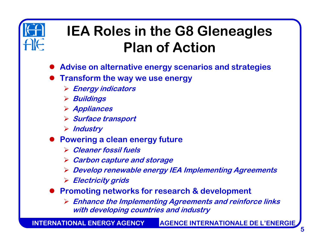

# **IEA Roles in the G8 Gleneagles Plan of Action**

- $\bullet$ **Advise on alternative energy scenarios and strategies**
- $\bullet$  **Transform the way we use energy**
	- ¾ **Energy indicators**
	- ¾ **Buildings**
	- ¾ **Appliances**
	- ¾ **Surface transport**
	- ¾ **Industry**
- **Powering a clean energy future** 
	- ¾ **Cleaner fossil fuels**
	- ¾ **Carbon capture and storage**
	- ¾ **Develop renewable energy IEA Implementing Agreements**
	- ¾ **Electricity grids**
- **Promoting networks for research & development** 
	- ¾ **Enhance the Implementing Agreements and reinforce links with developing countries and industry**

**INTERNATIONAL ENERGY AGENCYAGENCE INTERNATIONALE DE L'ENERGIE**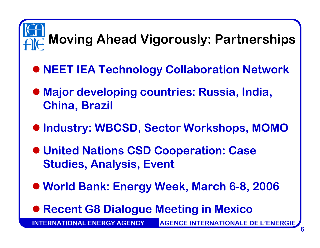# **Moving Ahead Vigorously: Partnerships**

- z **NEET IEA Technology Collaboration Network**
- **Major developing countries: Russia, India, China, Brazil**
- z **Industry: WBCSD, Sector Workshops, MOMO**
- z **United Nations CSD Cooperation: Case Studies, Analysis, Event**
- z **World Bank: Energy Week, March 6-8, 2006**
- **Recent G8 Dialogue Meeting in Mexico**

**ERNATIONAL ENERGY AGENCY AGENCE INTERNATIONALE DE L'ENERGIE**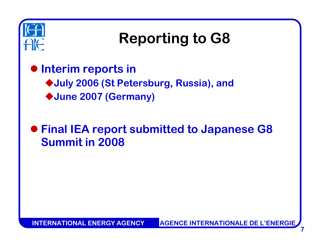

# **Reporting to G8**

 $\bullet$  **Interim reports in July 2006 (St Petersburg, Russia), and June 2007 (Germany)**

z **Final IEA report submitted to Japanese G8 Summit in 2008**

**7**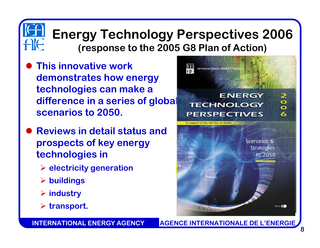### **Energy Technology Perspectives 2006 (response to the 2005 G8 Plan of Action)**

- $\bullet$  **This innovative work demonstrates how energy technologies can make a difference in a series of global scenarios to 2050.**
- $\bullet$  **Reviews in detail status and prospects of key energy technologies in** 
	- ¾ **electricity generation**
	- ¾ **buildings**
	- ¾ **industry**
	- ¾ **transport.**

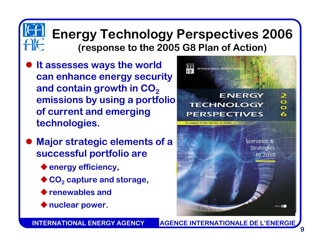### **Energy Technology Perspectives 2006 (response to the 2005 G8 Plan of Action)**

- $\bullet$  **It assesses ways the world can enhance energy security**  and contain growth in CO<sub>2</sub> **emissions by using a portfolio of current and emerging technologies.**
- $\bullet$  **Major strategic elements of a successful portfolio are** 
	- **energy efficiency,**
	- **CO 2 capture and storage,**
	- **renewables and**
	- **nuclear power.**



### **INTERNATIONAL ENERGY AGENCY**

**AGENCE INTERNATIONALE DE L'ENERGIE**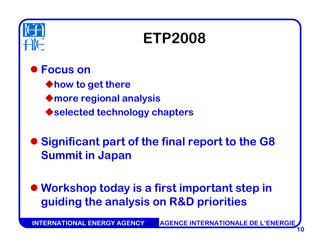

# **ETP2008**

#### $\bullet$ **Focus on**

**how to get there more regional analysis selected technology chapters**

 $\bullet$  **Significant part of the final report to the G8 Summit in Japan**

 $\bullet$  **Workshop today is a first important step in guiding the analysis on R&D priorities**